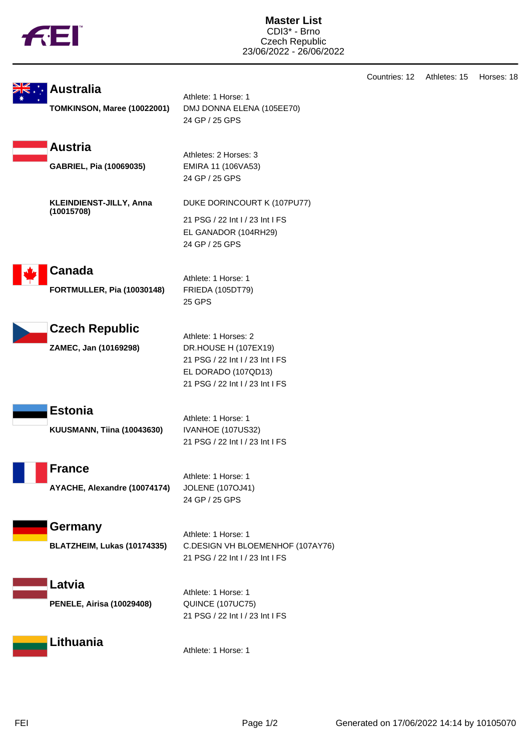|--|

Countries: 12 Athletes: 15 Horses: 18 **Australia** Athlete: 1 Horse: 1 **TOMKINSON, Maree (10022001)** DMJ DONNA ELENA (105EE70) 24 GP / 25 GPS **Austria** Athletes: 2 Horses: 3 **GABRIEL, Pia (10069035)** EMIRA 11 (106VA53) 24 GP / 25 GPS **KLEINDIENST-JILLY, Anna (10015708)** DUKE DORINCOURT K (107PU77) 21 PSG / 22 Int I / 23 Int I FS EL GANADOR (104RH29) 24 GP / 25 GPS **Canada** Athlete: 1 Horse: 1 **FORTMULLER, Pia (10030148)** FRIEDA (105DT79) 25 GPS **Czech Republic** Athlete: 1 Horses: 2 **ZAMEC, Jan (10169298)** DR.HOUSE H (107EX19) 21 PSG / 22 Int I / 23 Int I FS EL DORADO (107QD13) 21 PSG / 22 Int I / 23 Int I FS **Estonia** Athlete: 1 Horse: 1 **KUUSMANN, Tiina (10043630)** IVANHOE (107US32) 21 PSG / 22 Int I / 23 Int I FS **France** Athlete: 1 Horse: 1 **AYACHE, Alexandre (10074174)** JOLENE (107OJ41) 24 GP / 25 GPS **Germany** Athlete: 1 Horse: 1 **BLATZHEIM, Lukas (10174335)** C.DESIGN VH BLOEMENHOF (107AY76) 21 PSG / 22 Int I / 23 Int I FS **Latvia** Athlete: 1 Horse: 1 **PENELE, Airisa (10029408)** QUINCE (107UC75) 21 PSG / 22 Int I / 23 Int I FS **Lithuania**

Athlete: 1 Horse: 1